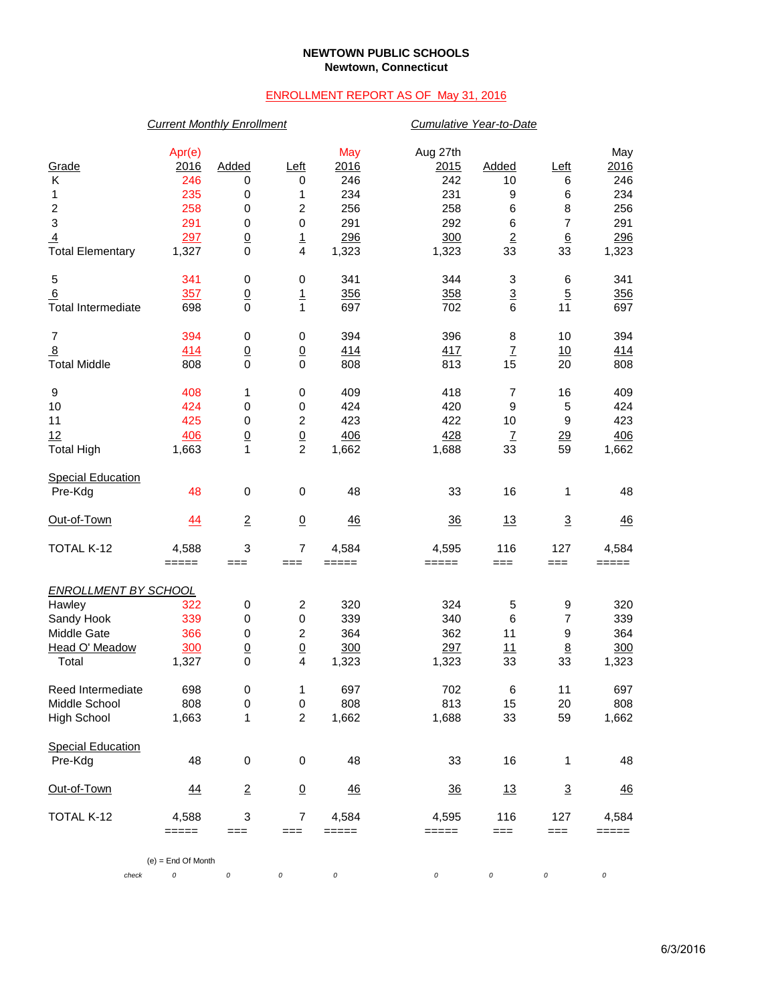### **NEWTOWN PUBLIC SCHOOLS Newtown, Connecticut**

# ENROLLMENT REPORT AS OF May 31, 2016

## *Current Monthly Enrollment Cumulative Year-to-Date*

| Grade<br>Κ<br>1<br>$\boldsymbol{2}$<br>$\ensuremath{\mathsf{3}}$<br>$\overline{4}$<br><b>Total Elementary</b> | Apr(e)<br>2016<br>246<br>235<br>258<br>291<br>297<br>1,327 | Added<br>0<br>0<br>0<br>0<br>$\underline{0}$<br>$\mathbf 0$ | <u>Left</u><br>0<br>1<br>$\boldsymbol{2}$<br>$\,0\,$<br>$\overline{1}$<br>4 | May<br>2016<br>246<br>234<br>256<br>291<br>296<br>1,323 | Aug 27th<br>2015<br>242<br>231<br>258<br>292<br>300<br>1,323 | Added<br>10<br>9<br>6<br>$\,6$<br>$\underline{\mathbf{2}}$<br>33 | Left<br>6<br>6<br>8<br>$\overline{7}$<br>6<br>33  | May<br>2016<br>246<br>234<br>256<br>291<br>296<br>1,323 |
|---------------------------------------------------------------------------------------------------------------|------------------------------------------------------------|-------------------------------------------------------------|-----------------------------------------------------------------------------|---------------------------------------------------------|--------------------------------------------------------------|------------------------------------------------------------------|---------------------------------------------------|---------------------------------------------------------|
| 5<br>6<br><b>Total Intermediate</b>                                                                           | 341<br>357<br>698                                          | 0<br>$\underline{0}$<br>0                                   | 0<br>$\mathbf{1}$<br>$\mathbf{1}$                                           | 341<br>356<br>697                                       | 344<br>358<br>702                                            | 3<br>$\overline{3}$<br>$6\phantom{1}6$                           | 6<br>$\overline{5}$<br>11                         | 341<br>356<br>697                                       |
| $\overline{7}$<br>$\frac{8}{2}$<br><b>Total Middle</b>                                                        | 394<br>414<br>808                                          | 0<br>$\overline{0}$<br>$\mathbf 0$                          | 0<br>$\overline{0}$<br>$\mathbf 0$                                          | 394<br>414<br>808                                       | 396<br>417<br>813                                            | 8<br>$\overline{1}$<br>15                                        | 10<br>10<br>20                                    | 394<br><u>414</u><br>808                                |
| 9<br>10<br>11<br>12<br><b>Total High</b>                                                                      | 408<br>424<br>425<br>406<br>1,663                          | 1<br>0<br>0<br>$\underline{0}$<br>1                         | 0<br>0<br>$\boldsymbol{2}$<br>$\overline{0}$<br>$\overline{c}$              | 409<br>424<br>423<br>406<br>1,662                       | 418<br>420<br>422<br>428<br>1,688                            | 7<br>$\boldsymbol{9}$<br>10<br>$\underline{7}$<br>33             | 16<br>5<br>9<br>$\frac{29}{2}$<br>59              | 409<br>424<br>423<br>406<br>1,662                       |
| <b>Special Education</b><br>Pre-Kdg                                                                           | 48                                                         | $\mathbf 0$                                                 | $\pmb{0}$                                                                   | 48                                                      | 33                                                           | 16                                                               | 1                                                 | 48                                                      |
| Out-of-Town                                                                                                   | 44                                                         | $\overline{2}$                                              | $\underline{0}$                                                             | <u>46</u>                                               | $\frac{36}{5}$                                               | 13                                                               | $\overline{3}$                                    | <u>46</u>                                               |
| TOTAL K-12                                                                                                    | 4,588<br>$=====$                                           | 3<br>$==$                                                   | $\overline{7}$<br>$==$                                                      | 4,584<br>$=====$                                        | 4,595<br>$=====$                                             | 116<br>$==$                                                      | 127<br>$==$                                       | 4,584<br>$=====$                                        |
| <b>ENROLLMENT BY SCHOOL</b><br>Hawley<br>Sandy Hook<br>Middle Gate<br>Head O' Meadow<br>Total                 | 322<br>339<br>366<br>300<br>1,327                          | 0<br>0<br>0<br>$\underline{0}$<br>0                         | $\boldsymbol{2}$<br>$\,0\,$<br>$\boldsymbol{2}$<br>$\underline{0}$<br>4     | 320<br>339<br>364<br>300<br>1,323                       | 324<br>340<br>362<br>297<br>1,323                            | 5<br>6<br>11<br>11<br>33                                         | 9<br>$\overline{7}$<br>9<br>$\underline{8}$<br>33 | 320<br>339<br>364<br>300<br>1,323                       |
| Reed Intermediate<br>Middle School<br><b>High School</b>                                                      | 698<br>808<br>1,663                                        | 0<br>0<br>1                                                 | 1<br>$\mathbf 0$<br>$\overline{c}$                                          | 697<br>808<br>1,662                                     | 702<br>813<br>1,688                                          | 6<br>15<br>33                                                    | 11<br>20<br>59                                    | 697<br>808<br>1,662                                     |
| <b>Special Education</b><br>Pre-Kdg                                                                           | 48                                                         | $\pmb{0}$                                                   | $\pmb{0}$                                                                   | 48                                                      | 33                                                           | 16                                                               | 1                                                 | 48                                                      |
| Out-of-Town                                                                                                   | 44                                                         | $\overline{2}$                                              | $\overline{0}$                                                              | 46                                                      | $\frac{36}{5}$                                               | 13                                                               | $\overline{3}$                                    | $\frac{46}{5}$                                          |
| TOTAL K-12                                                                                                    | 4,588<br>$=====$                                           | 3<br>$==$                                                   | $\overline{7}$<br>$==$                                                      | 4,584<br>$=====$                                        | 4,595<br>$=====$                                             | 116<br>===                                                       | 127<br>$==$                                       | 4,584<br>=====                                          |
|                                                                                                               | $(e) =$ End Of Month                                       |                                                             |                                                                             |                                                         |                                                              |                                                                  |                                                   |                                                         |
| check                                                                                                         | 0                                                          | 0                                                           | 0                                                                           | 0                                                       | 0                                                            | 0                                                                | 0                                                 | 0                                                       |